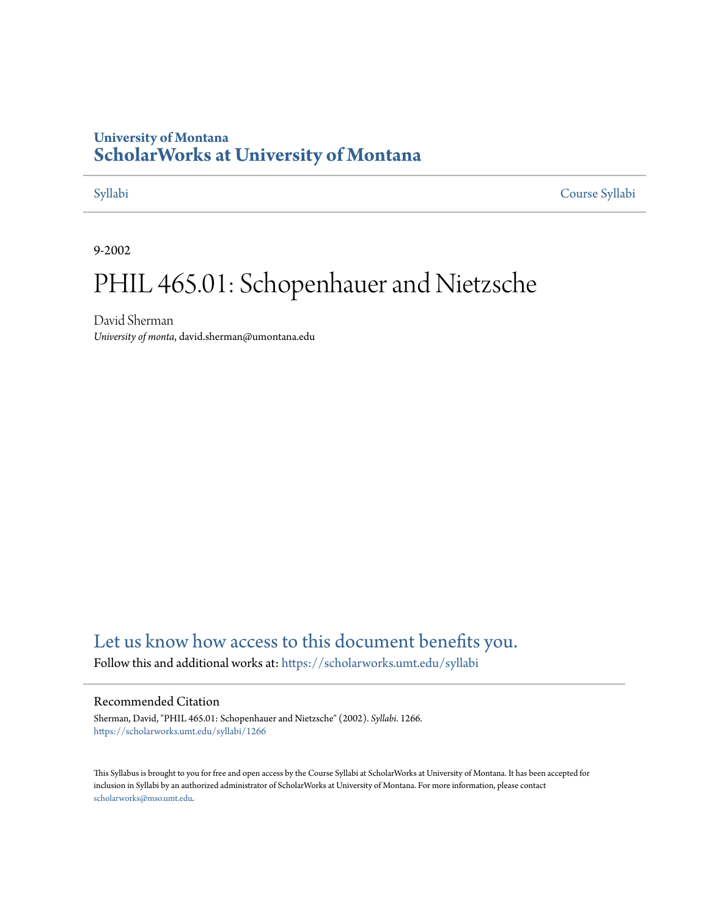## **University of Montana [ScholarWorks at University of Montana](https://scholarworks.umt.edu?utm_source=scholarworks.umt.edu%2Fsyllabi%2F1266&utm_medium=PDF&utm_campaign=PDFCoverPages)**

[Syllabi](https://scholarworks.umt.edu/syllabi?utm_source=scholarworks.umt.edu%2Fsyllabi%2F1266&utm_medium=PDF&utm_campaign=PDFCoverPages) [Course Syllabi](https://scholarworks.umt.edu/course_syllabi?utm_source=scholarworks.umt.edu%2Fsyllabi%2F1266&utm_medium=PDF&utm_campaign=PDFCoverPages)

9-2002

# PHIL 465.01: Schopenhauer and Nietzsche

David Sherman *University of monta*, david.sherman@umontana.edu

# [Let us know how access to this document benefits you.](https://goo.gl/forms/s2rGfXOLzz71qgsB2)

Follow this and additional works at: [https://scholarworks.umt.edu/syllabi](https://scholarworks.umt.edu/syllabi?utm_source=scholarworks.umt.edu%2Fsyllabi%2F1266&utm_medium=PDF&utm_campaign=PDFCoverPages)

#### Recommended Citation

Sherman, David, "PHIL 465.01: Schopenhauer and Nietzsche" (2002). *Syllabi*. 1266. [https://scholarworks.umt.edu/syllabi/1266](https://scholarworks.umt.edu/syllabi/1266?utm_source=scholarworks.umt.edu%2Fsyllabi%2F1266&utm_medium=PDF&utm_campaign=PDFCoverPages)

This Syllabus is brought to you for free and open access by the Course Syllabi at ScholarWorks at University of Montana. It has been accepted for inclusion in Syllabi by an authorized administrator of ScholarWorks at University of Montana. For more information, please contact [scholarworks@mso.umt.edu](mailto:scholarworks@mso.umt.edu).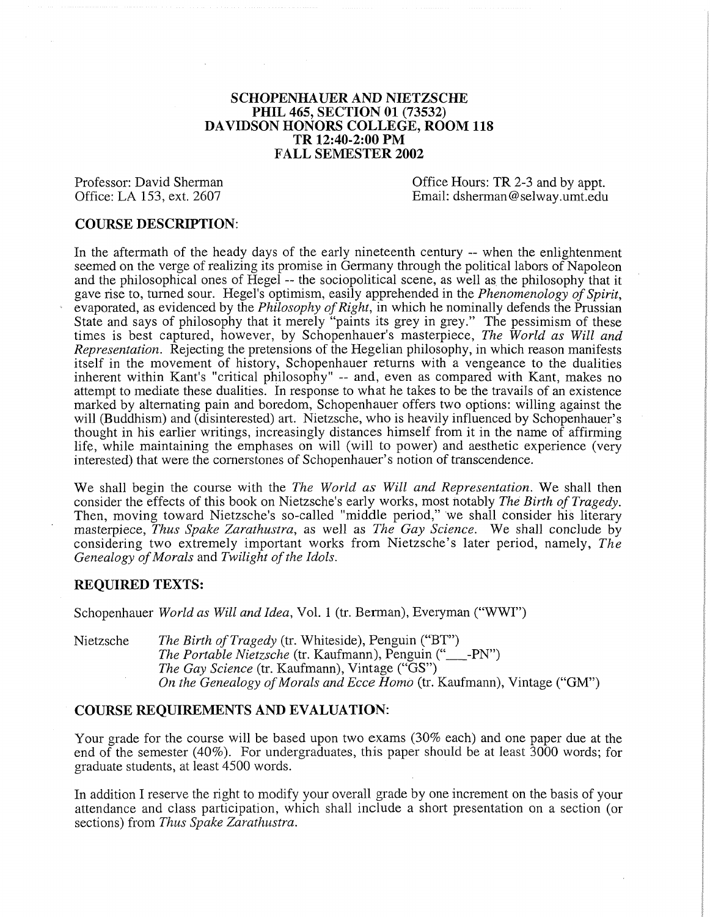#### **SCHOPENHAUER AND NIETZSCHE PHIL 465, SECTION 01 (73532) DAVIDSON HONORS COLLEGE, ROOM 118 TR 12:40-2:00 PM FALL SEMESTER 2002**

Professor: David Sherman Office Hours: TR 2-3 and by appt.<br>
Office: LA 153, ext. 2607 Email: dsherman @selway.umt.edu Email: dsherman@selway.umt.edu

### **COURSE DESCRIPTION:**

In the aftermath of the heady days of the early nineteenth century — when the enlightenment seemed on the verge of realizing its promise in Germany through the political labors of Napoleon and the philosophical ones of Hegel — the sociopolitical scene, as well as the philosophy that it gave rise to, turned sour. Hegel's optimism, easily apprehended in the *Phenomenology of Spirit*, evaporated, as evidenced by the *Philosophy of Right*, in which he nominally defends the Prussian State and says of philosophy that it merely "paints its grey in grey." The pessimism of these times is best captured, however, by Schopenhauer's masterpiece, *The World as Will and Representation.* Rejecting the pretensions of the Hegelian philosophy, in which reason manifests itself in the movement of history, Schopenhauer returns with a vengeance to the dualities inherent within Kant's "critical philosophy" -- and, even as compared with Kant, makes no attempt to mediate these dualities. In response to what he takes to be the travails of an existence marked by alternating pain and boredom, Schopenhauer offers two options: willing against the will (Buddhism) and (disinterested) art. Nietzsche, who is heavily influenced by Schopenhauer's thought in his earlier writings, increasingly distances himself from it in the name of affirming life, while maintaining the emphases on will (will to power) and aesthetic experience (very interested) that were the cornerstones of Schopenhauer's notion of transcendence.

We shall begin the course with the *The World as Will and Representation.* We shall then consider the effects of this book on Nietzsche's early works, most notably *The Birth of Tragedy*. Then, moving toward Nietzsche's so-called "middle period," we shall consider his literary masterpiece, *Thus Spake Zarathustra,* as well as *The Gay Science.* We shall conclude by considering two extremely important works from Nietzsche's later period, namely, *The* Genealogy of Morals and Twilight of the Idols.

### **REQUIRED TEXTS:**

Schopenhauer *World as Will and Idea,* Vol. 1 (tr. Berman), Everyman ("WWI")

Nietzsche *The Birth of Tragedy* (tr. Whiteside), Penguin ("BT") *The Portable Nietzsche* (tr. Kaufmann), Penguin ("\_\_\_-PN") *The Gay Science* (tr. Kaufmann), Vintage ("GS") *On the Genealogy of Morals and Ecce Homo* (tr. Kaufmann), Vintage ("GM")

#### **COURSE REQUIREMENTS AND EVALUATION:**

Your grade for the course will be based upon two exams (30% each) and one paper due at the end of the semester (40%). For undergraduates, this paper should be at least 3000 words; for graduate students, at least 4500 words.

In addition I reserve the right to modify your overall grade by one increment on the basis of your attendance and class participation, which shall include a short presentation on a section (or sections) from *Thus Spake Zarathustra.*